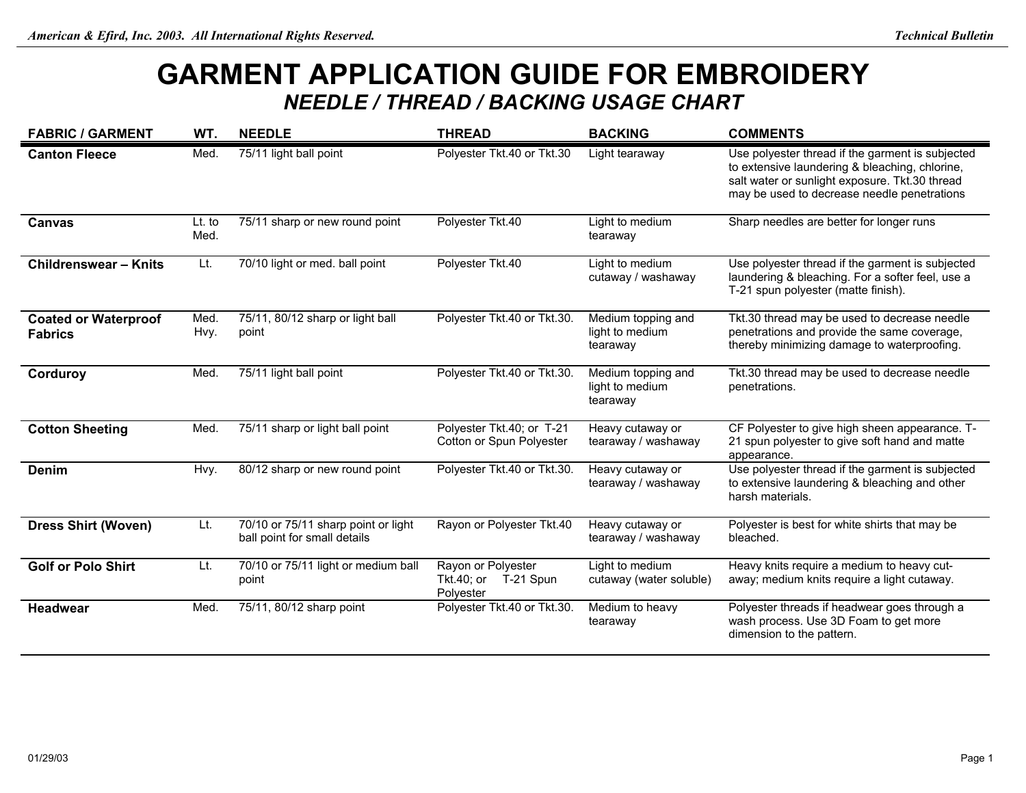## **GARMENT APPLICATION GUIDE FOR EMBROIDERY**  *NEEDLE / THREAD / BACKING USAGE CHART*

| <b>FABRIC / GARMENT</b>                       | WT.            | <b>NEEDLE</b>                                                       | <b>THREAD</b>                                              | <b>BACKING</b>                                    | <b>COMMENTS</b>                                                                                                                                                                                     |
|-----------------------------------------------|----------------|---------------------------------------------------------------------|------------------------------------------------------------|---------------------------------------------------|-----------------------------------------------------------------------------------------------------------------------------------------------------------------------------------------------------|
| <b>Canton Fleece</b>                          | Med.           | 75/11 light ball point                                              | Polyester Tkt.40 or Tkt.30                                 | Light tearaway                                    | Use polyester thread if the garment is subjected<br>to extensive laundering & bleaching, chlorine,<br>salt water or sunlight exposure. Tkt.30 thread<br>may be used to decrease needle penetrations |
| Canvas                                        | Lt. to<br>Med. | 75/11 sharp or new round point                                      | Polyester Tkt.40                                           | Light to medium<br>tearaway                       | Sharp needles are better for longer runs                                                                                                                                                            |
| <b>Childrenswear - Knits</b>                  | Lt.            | 70/10 light or med. ball point                                      | Polyester Tkt.40                                           | Light to medium<br>cutaway / washaway             | Use polyester thread if the garment is subjected<br>laundering & bleaching. For a softer feel, use a<br>T-21 spun polyester (matte finish).                                                         |
| <b>Coated or Waterproof</b><br><b>Fabrics</b> | Med.<br>Hvy.   | 75/11, 80/12 sharp or light ball<br>point                           | Polyester Tkt.40 or Tkt.30.                                | Medium topping and<br>light to medium<br>tearaway | Tkt.30 thread may be used to decrease needle<br>penetrations and provide the same coverage,<br>thereby minimizing damage to waterproofing.                                                          |
| Corduroy                                      | Med.           | 75/11 light ball point                                              | Polyester Tkt.40 or Tkt.30.                                | Medium topping and<br>light to medium<br>tearaway | Tkt.30 thread may be used to decrease needle<br>penetrations.                                                                                                                                       |
| <b>Cotton Sheeting</b>                        | Med.           | 75/11 sharp or light ball point                                     | Polyester Tkt.40; or T-21<br>Cotton or Spun Polyester      | Heavy cutaway or<br>tearaway / washaway           | CF Polyester to give high sheen appearance. T-<br>21 spun polyester to give soft hand and matte<br>appearance.                                                                                      |
| <b>Denim</b>                                  | Hvy.           | 80/12 sharp or new round point                                      | Polyester Tkt.40 or Tkt.30.                                | Heavy cutaway or<br>tearaway / washaway           | Use polyester thread if the garment is subjected<br>to extensive laundering & bleaching and other<br>harsh materials.                                                                               |
| <b>Dress Shirt (Woven)</b>                    | Lt.            | 70/10 or 75/11 sharp point or light<br>ball point for small details | Rayon or Polyester Tkt.40                                  | Heavy cutaway or<br>tearaway / washaway           | Polyester is best for white shirts that may be<br>bleached.                                                                                                                                         |
| <b>Golf or Polo Shirt</b>                     | Lt.            | 70/10 or 75/11 light or medium ball<br>point                        | Rayon or Polyester<br>T-21 Spun<br>Tkt.40; or<br>Polyester | Light to medium<br>cutaway (water soluble)        | Heavy knits require a medium to heavy cut-<br>away; medium knits require a light cutaway.                                                                                                           |
| Headwear                                      | Med.           | 75/11, 80/12 sharp point                                            | Polyester Tkt.40 or Tkt.30.                                | Medium to heavy<br>tearaway                       | Polyester threads if headwear goes through a<br>wash process. Use 3D Foam to get more<br>dimension to the pattern.                                                                                  |